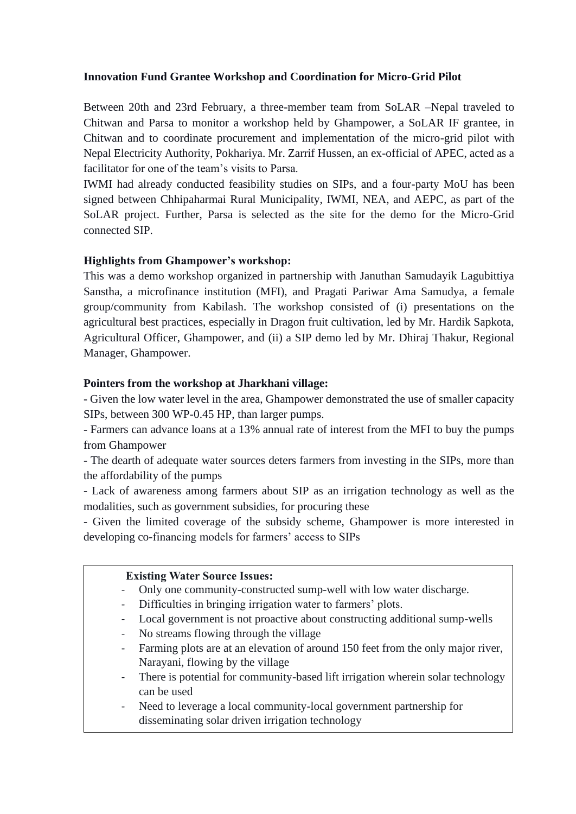## **Innovation Fund Grantee Workshop and Coordination for Micro-Grid Pilot**

Between 20th and 23rd February, a three-member team from SoLAR –Nepal traveled to Chitwan and Parsa to monitor a workshop held by Ghampower, a SoLAR IF grantee, in Chitwan and to coordinate procurement and implementation of the micro-grid pilot with Nepal Electricity Authority, Pokhariya. Mr. Zarrif Hussen, an ex-official of APEC, acted as a facilitator for one of the team's visits to Parsa.

IWMI had already conducted feasibility studies on SIPs, and a four-party MoU has been signed between Chhipaharmai Rural Municipality, IWMI, NEA, and AEPC, as part of the SoLAR project. Further, Parsa is selected as the site for the demo for the Micro-Grid connected SIP.

# **Highlights from Ghampower's workshop:**

This was a demo workshop organized in partnership with Januthan Samudayik Lagubittiya Sanstha, a microfinance institution (MFI), and Pragati Pariwar Ama Samudya, a female group/community from Kabilash. The workshop consisted of (i) presentations on the agricultural best practices, especially in Dragon fruit cultivation, led by Mr. Hardik Sapkota, Agricultural Officer, Ghampower, and (ii) a SIP demo led by Mr. Dhiraj Thakur, Regional Manager, Ghampower.

## **Pointers from the workshop at Jharkhani village:**

- Given the low water level in the area, Ghampower demonstrated the use of smaller capacity SIPs, between 300 WP-0.45 HP, than larger pumps.

- Farmers can advance loans at a 13% annual rate of interest from the MFI to buy the pumps from Ghampower

- The dearth of adequate water sources deters farmers from investing in the SIPs, more than the affordability of the pumps

- Lack of awareness among farmers about SIP as an irrigation technology as well as the modalities, such as government subsidies, for procuring these

- Given the limited coverage of the subsidy scheme, Ghampower is more interested in developing co-financing models for farmers' access to SIPs

## **Existing Water Source Issues:**

- Only one community-constructed sump-well with low water discharge.
- Difficulties in bringing irrigation water to farmers' plots.
- Local government is not proactive about constructing additional sump-wells
- No streams flowing through the village
- **Figure 1** *Demonarii*, flowing by the village Mugling-Narayanghat Highway - Farming plots are at an elevation of around 150 feet from the only major river,
	- There is potential for community-based lift irrigation wherein solar technology can be used
	- Need to leverage a local community-local government partnership for disseminating solar driven irrigation technology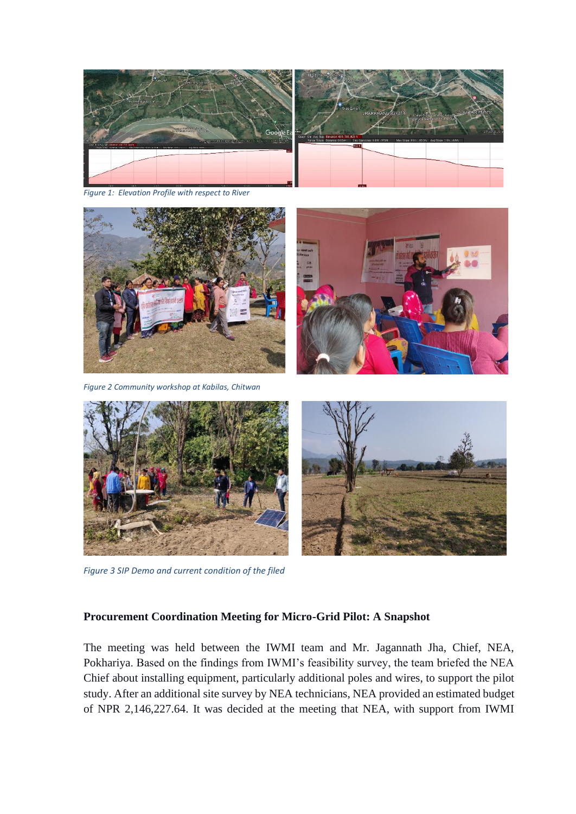

*Figure 1: Elevation Profile with respect to River*





*Figure 3 SIP Demo and current condition of the filed*

#### **Procurement Coordination Meeting for Micro-Grid Pilot: A Snapshot**

The meeting was held between the IWMI team and Mr. Jagannath Jha, Chief, NEA, Pokhariya. Based on the findings from IWMI's feasibility survey, the team briefed the NEA Chief about installing equipment, particularly additional poles and wires, to support the pilot study. After an additional site survey by NEA technicians, NEA provided an estimated budget of NPR 2,146,227.64. It was decided at the meeting that NEA, with support from IWMI